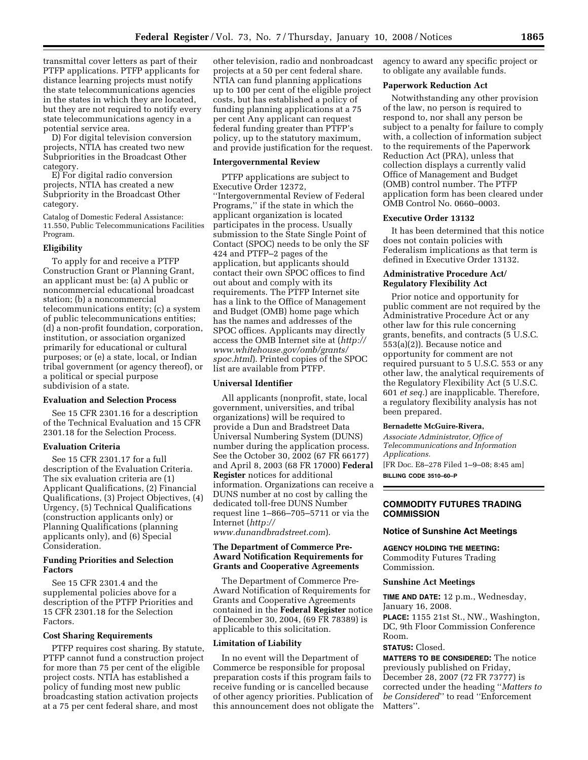transmittal cover letters as part of their PTFP applications. PTFP applicants for distance learning projects must notify the state telecommunications agencies in the states in which they are located, but they are not required to notify every state telecommunications agency in a potential service area.

D) For digital television conversion projects, NTIA has created two new Subpriorities in the Broadcast Other category.

E) For digital radio conversion projects, NTIA has created a new Subpriority in the Broadcast Other category.

Catalog of Domestic Federal Assistance: 11.550, Public Telecommunications Facilities Program.

### **Eligibility**

To apply for and receive a PTFP Construction Grant or Planning Grant, an applicant must be: (a) A public or noncommercial educational broadcast station; (b) a noncommercial telecommunications entity; (c) a system of public telecommunications entities; (d) a non-profit foundation, corporation, institution, or association organized primarily for educational or cultural purposes; or (e) a state, local, or Indian tribal government (or agency thereof), or a political or special purpose subdivision of a state.

#### **Evaluation and Selection Process**

See 15 CFR 2301.16 for a description of the Technical Evaluation and 15 CFR 2301.18 for the Selection Process.

### **Evaluation Criteria**

See 15 CFR 2301.17 for a full description of the Evaluation Criteria. The six evaluation criteria are (1) Applicant Qualifications, (2) Financial Qualifications, (3) Project Objectives, (4) Urgency, (5) Technical Qualifications (construction applicants only) or Planning Qualifications (planning applicants only), and (6) Special Consideration.

## **Funding Priorities and Selection Factors**

See 15 CFR 2301.4 and the supplemental policies above for a description of the PTFP Priorities and 15 CFR 2301.18 for the Selection **Factors** 

#### **Cost Sharing Requirements**

PTFP requires cost sharing. By statute, PTFP cannot fund a construction project for more than 75 per cent of the eligible project costs. NTIA has established a policy of funding most new public broadcasting station activation projects at a 75 per cent federal share, and most

other television, radio and nonbroadcast projects at a 50 per cent federal share. NTIA can fund planning applications up to 100 per cent of the eligible project costs, but has established a policy of funding planning applications at a 75 per cent Any applicant can request federal funding greater than PTFP's policy, up to the statutory maximum, and provide justification for the request.

### **Intergovernmental Review**

PTFP applications are subject to Executive Order 12372, ''Intergovernmental Review of Federal Programs,'' if the state in which the applicant organization is located participates in the process. Usually submission to the State Single Point of Contact (SPOC) needs to be only the SF 424 and PTFP–2 pages of the application, but applicants should contact their own SPOC offices to find out about and comply with its requirements. The PTFP Internet site has a link to the Office of Management and Budget (OMB) home page which has the names and addresses of the SPOC offices. Applicants may directly access the OMB Internet site at (*http:// www.whitehouse.gov/omb/grants/ spoc.html*). Printed copies of the SPOC list are available from PTFP.

### **Universal Identifier**

All applicants (nonprofit, state, local government, universities, and tribal organizations) will be required to provide a Dun and Bradstreet Data Universal Numbering System (DUNS) number during the application process. See the October 30, 2002 (67 FR 66177) and April 8, 2003 (68 FR 17000) **Federal Register** notices for additional information. Organizations can receive a DUNS number at no cost by calling the dedicated toll-free DUNS Number request line 1–866–705–5711 or via the Internet (*http://* 

*www.dunandbradstreet.com*).

# **The Department of Commerce Pre-Award Notification Requirements for Grants and Cooperative Agreements**

The Department of Commerce Pre-Award Notification of Requirements for Grants and Cooperative Agreements contained in the **Federal Register** notice of December 30, 2004, (69 FR 78389) is applicable to this solicitation.

### **Limitation of Liability**

In no event will the Department of Commerce be responsible for proposal preparation costs if this program fails to receive funding or is cancelled because of other agency priorities. Publication of this announcement does not obligate the agency to award any specific project or to obligate any available funds.

#### **Paperwork Reduction Act**

Notwithstanding any other provision of the law, no person is required to respond to, nor shall any person be subject to a penalty for failure to comply with, a collection of information subject to the requirements of the Paperwork Reduction Act (PRA), unless that collection displays a currently valid Office of Management and Budget (OMB) control number. The PTFP application form has been cleared under OMB Control No. 0660–0003.

### **Executive Order 13132**

It has been determined that this notice does not contain policies with Federalism implications as that term is defined in Executive Order 13132.

## **Administrative Procedure Act/ Regulatory Flexibility Act**

Prior notice and opportunity for public comment are not required by the Administrative Procedure Act or any other law for this rule concerning grants, benefits, and contracts (5 U.S.C. 553(a)(2)). Because notice and opportunity for comment are not required pursuant to 5 U.S.C. 553 or any other law, the analytical requirements of the Regulatory Flexibility Act (5 U.S.C. 601 *et seq.*) are inapplicable. Therefore, a regulatory flexibility analysis has not been prepared.

#### **Bernadette McGuire-Rivera,**

*Associate Administrator, Office of Telecommunications and Information Applications.*  [FR Doc. E8–278 Filed 1–9–08; 8:45 am]

**BILLING CODE 3510–60–P** 

### **COMMODITY FUTURES TRADING COMMISSION**

#### **Notice of Sunshine Act Meetings**

**AGENCY HOLDING THE MEETING:** 

Commodity Futures Trading Commission.

### **Sunshine Act Meetings**

**TIME AND DATE:** 12 p.m., Wednesday, January 16, 2008.

**PLACE:** 1155 21st St., NW., Washington, DC, 9th Floor Commission Conference Room.

### **STATUS:** Closed.

**MATTERS TO BE CONSIDERED:** The notice previously published on Friday, December 28, 2007 (72 FR 73777) is corrected under the heading ''*Matters to be Considered*'' to read ''Enforcement Matters''.